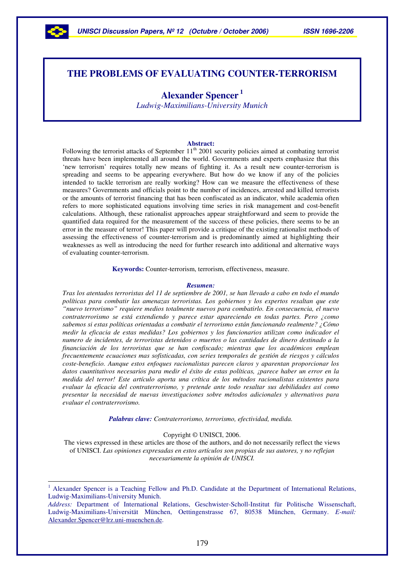

# **THE PROBLEMS OF EVALUATING COUNTER-TERRORISM**

# **Alexander Spencer 1**

*Ludwig-Maximilians-University Munich*

#### **Abstract:**

Following the terrorist attacks of September  $11<sup>th</sup>$  2001 security policies aimed at combating terrorist threats have been implemented all around the world. Governments and experts emphasize that this 'new terrorism' requires totally new means of fighting it. As a result new counter-terrorism is spreading and seems to be appearing everywhere. But how do we know if any of the policies intended to tackle terrorism are really working? How can we measure the effectiveness of these measures? Governments and officials point to the number of incidences, arrested and killed terrorists or the amounts of terrorist financing that has been confiscated as an indicator, while academia often refers to more sophisticated equations involving time series in risk management and cost-benefit calculations. Although, these rationalist approaches appear straightforward and seem to provide the quantified data required for the measurement of the success of these policies, there seems to be an error in the measure of terror! This paper will provide a critique of the existing rationalist methods of assessing the effectiveness of counter-terrorism and is predominantly aimed at highlighting their weaknesses as well as introducing the need for further research into additional and alternative ways of evaluating counter-terrorism.

**Keywords:** Counter-terrorism, terrorism, effectiveness, measure.

#### *Resumen:*

Tras los atentados terroristas del 11 de septiembre de 2001, se han llevado a cabo en todo el mundo *políticas para combatir las amenazas terroristas. Los gobiernos y los expertos resaltan que este "nuevo terrorismo" requiere medios totalmente nuevos para combatirlo. En consecuencia, el nuevo contraterrorismo se está extendiendo y parece estar apareciendo en todas partes. Pero ¿como sabemos si estas políticas orientadas a combatir el terrorismo están funcionando realmente? ¿Cómo medir la eficacia de estas medidas? Los gobiernos y los funcionarios utilizan como indicador el numero de incidentes, de terroristas detenidos o muertos o las cantidades de dinero destinado a la financiación de los terroristas que se han confiscado; mientras que los académicos emplean frecuentemente ecuaciones mas sofisticadas, con series temporales de gestión de riesgos y cálculos coste-beneficio. Aunque estos enfoques racionalistas parecen claros y aparentan proporcionar los datos cuantitativos necesarios para medir el éxito de estas políticas, ¡parece haber un error en la medida del terror! Este artículo aporta una crítica de los métodos racionalistas existentes para evaluar la eficacia del contraterrorismo, y pretende ante todo resaltar sus debilidades así como presentar la necesidad de nuevas investigaciones sobre métodos adicionales y alternativos para evaluar el contraterrorismo.*

*Palabras clave: Contraterrorismo, terrorismo, efectividad, medida.*

Copyright © UNISCI, 2006.

The views expressed in these articles are those of the authors, and do not necessarily reflect the views of UNISCI. *Las opiniones expresadas en estos artículos son propias de sus autores, y no reflejan necesariamente la opinión de UNISCI.*

<sup>1</sup> Alexander Spencer is a Teaching Fellow and Ph.D. Candidate at the Department of International Relations, Ludwig-Maximilians-University Munich.

*Address:* Department of International Relations, Geschwister-Scholl-Institut für Politische Wissenschaft, Ludwig-Maximilians-Universität München, Oettingenstrasse 67, 80538 München, Germany. *E-mail:* Alexander.Spencer@lrz.uni-muenchen.de.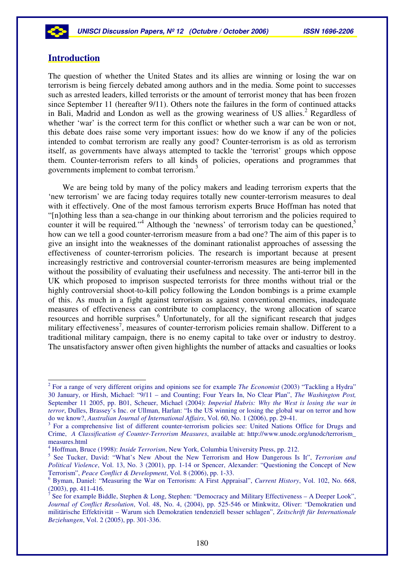# **Introduction**

The question of whether the United States and its allies are winning or losing the war on terrorism is being fiercely debated among authors and in the media. Some point to successes such as arrested leaders, killed terrorists or the amount of terrorist money that has been frozen since September 11 (hereafter 9/11). Others note the failures in the form of continued attacks in Bali, Madrid and London as well as the growing weariness of US allies. <sup>2</sup> Regardless of whether 'war' is the correct term for this conflict or whether such a war can be won or not. this debate does raise some very important issues: how do we know if any of the policies intended to combat terrorism are really any good? Counter-terrorism is as old as terrorism itself, as governments have always attempted to tackle the 'terrorist' groups which oppose them. Counter-terrorism refers to all kinds of policies, operations and programmes that governments implement to combat terrorism.<sup>3</sup>

We are being told by many of the policy makers and leading terrorism experts that the 'new terrorism' we are facing today requires totally new counter-terrorism measures to deal with it effectively. One of the most famous terrorism experts Bruce Hoffman has noted that "[n]othing less than a sea-change in our thinking about terrorism and the policies required to counter it will be required."<sup>4</sup> Although the 'newness' of terrorism today can be questioned,<sup>5</sup> how can we tell a good counter-terrorism measure from a bad one? The aim of this paper is to give an insight into the weaknesses of the dominant rationalist approaches of assessing the effectiveness of counter-terrorism policies. The research is important because at present increasingly restrictive and controversial counter-terrorism measures are being implemented without the possibility of evaluating their usefulness and necessity. The anti-terror bill in the UK which proposed to imprison suspected terrorists for three months without trial or the highly controversial shoot-to-kill policy following the London bombings is a prime example of this. As much in a fight against terrorism as against conventional enemies, inadequate measures of effectiveness can contribute to complacency, the wrong allocation of scarce resources and horrible surprises.<sup>6</sup> Unfortunately, for all the significant research that judges military effectiveness<sup>7</sup>, measures of counter-terrorism policies remain shallow. Different to a traditional military campaign, there is no enemy capital to take over or industry to destroy. The unsatisfactory answer often given highlights the number of attacks and casualties or looks

<sup>2</sup> For a range of very different origins and opinions see for example *The Economist* (2003) "Tackling a Hydra" 30 January, or Hirsh, Michael: "9/11 – and Counting; Four Years In, No Clear Plan", *The Washington Post,* September 11 2005, pp. B01, Scheuer, Michael (2004): *Imperial Hubris: Why the West is losing the war in terror*, Dulles, Brassey's Inc. or Ullman, Harlan: "Is the US winning or losing the global war on terror and how do we know?, *Australian Journal of International Affairs*, Vol. 60, No. 1 (2006), pp. 29-41.

<sup>&</sup>lt;sup>3</sup> For a comprehensive list of different counter-terrorism policies see: United Nations Office for Drugs and Crime, *A Classification of Counter-Terrorism Measures*, available at: http://www.unodc.org/unodc/terrorism\_ measures.html

<sup>4</sup> Hoffman, Bruce (1998): *Inside Terrorism*, New York, Columbia University Press, pp. 212.

<sup>5</sup> See Tucker, David: "What's New About the New Terrorism and How Dangerous Is It", *Terrorism and Political Violence*, Vol. 13, No. 3 (2001), pp. 1-14 or Spencer, Alexander: "Questioning the Concept of New Terrorism", *Peace Conflict & Development*, Vol. 8 (2006), pp. 1-33.

<sup>6</sup> Byman, Daniel: "Measuring the War on Terrorism: A First Appraisal", *Current History*, Vol. 102, No. 668, (2003), pp. 411-416.

<sup>7</sup> See for example Biddle, Stephen & Long, Stephen: "Democracy and Military Effectiveness – A Deeper Look", *Journal of Conflict Resolution*, Vol. 48, No. 4, (2004), pp. 525-546 or Minkwitz, Oliver: "Demokratien und militärische Effektivität – Warum sich Demokratien tendenziell besser schlagen", *Zeitschrift für Internationale Beziehungen*, Vol. 2 (2005), pp. 301-336.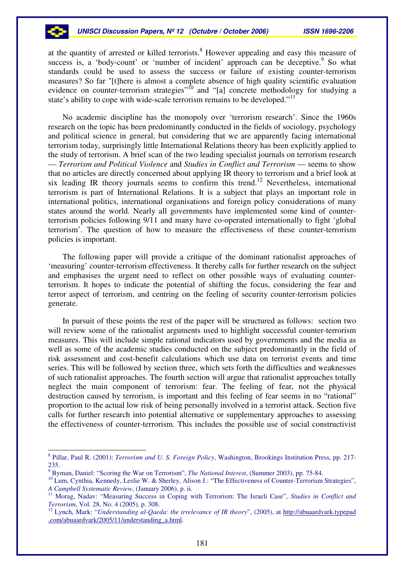#### *UNISCI Discussion Papers, Nº 12 (Octubre / October 2006) ISSN 1696-2206*

at the quantity of arrested or killed terrorists.<sup>8</sup> However appealing and easy this measure of success is, a 'body-count' or 'number of incident' approach can be deceptive.<sup>9</sup> So what standards could be used to assess the success or failure of existing counter-terrorism measures? So far "[t]here is almost a complete absence of high quality scientific evaluation evidence on counter-terrorism strategies"<sup>10</sup> and "[a] concrete methodology for studying a state's ability to cope with wide-scale terrorism remains to be developed."<sup>11</sup>

No academic discipline has the monopoly over 'terrorism research'. Since the 1960s research on the topic has been predominantly conducted in the fields of sociology, psychology and political science in general, but considering that we are apparently facing international terrorism today, surprisingly little International Relations theory has been explicitly applied to the study of terrorism. A brief scan of the two leading specialist journals on terrorism research — *Terrorism and Political Violence* and *Studies in Conflict and Terrorism* — seems to show that no articles are directly concerned about applying IR theory to terrorism and a brief look at six leading IR theory journals seems to confirm this trend. <sup>12</sup> Nevertheless, international terrorism is part of International Relations. It is a subject that plays an important role in international politics, international organisations and foreign policy considerations of many states around the world. Nearly all governments have implemented some kind of counterterrorism policies following 9/11 and many have co-operated internationally to fight 'global terrorism'. The question of how to measure the effectiveness of these counter-terrorism policies is important.

The following paper will provide a critique of the dominant rationalist approaches of 'measuring' counter-terrorism effectiveness. It thereby calls for further research on the subject and emphasises the urgent need to reflect on other possible ways of evaluating counterterrorism. It hopes to indicate the potential of shifting the focus, considering the fear and terror aspect of terrorism, and centring on the feeling of security counter-terrorism policies generate.

In pursuit of these points the rest of the paper will be structured as follows: section two will review some of the rationalist arguments used to highlight successful counter-terrorism measures. This will include simple rational indicators used by governments and the media as well as some of the academic studies conducted on the subject predominantly in the field of risk assessment and cost-benefit calculations which use data on terrorist events and time series. This will be followed by section three, which sets forth the difficulties and weaknesses of such rationalist approaches. The fourth section will argue that rationalist approaches totally neglect the main component of terrorism: fear. The feeling of fear, not the physical destruction caused by terrorism, is important and this feeling of fear seems in no "rational" proportion to the actual low risk of being personally involved in a terrorist attack. Section five calls for further research into potential alternative or supplementary approaches to assessing the effectiveness of counter-terrorism. This includes the possible use of social constructivist

<sup>8</sup> Pillar, Paul R. (2001): *Terrorism and U. S. Foreign Policy*, Washington, Brookings Institution Press, pp. 217- 235.

<sup>9</sup> Byman, Daniel: "Scoring the War on Terrorism", *The National Interest*, (Summer 2003), pp. 75-84.

<sup>&</sup>lt;sup>10</sup> Lum, Cynthia, Kennedy, Leslie W. & Sherley, Alison J.: "The Effectiveness of Counter-Terrorism Strategies", *A Campbell Systematic Review*, (January 2006), p. ii.

<sup>11</sup> Morag, Nadav: "Measuring Success in Coping with Terrorism: The Israeli Case", *Studies in Conflict and Terrorism*, Vol. 28, No. 4 (2005), p. 308.

<sup>12</sup> Lynch, Mark: "*Understanding al-Qaeda: the irrelevance of IR theory*", (2005), at http://abuaardvark.typepad .com/abuaardvark/2005/11/understanding\_a.html.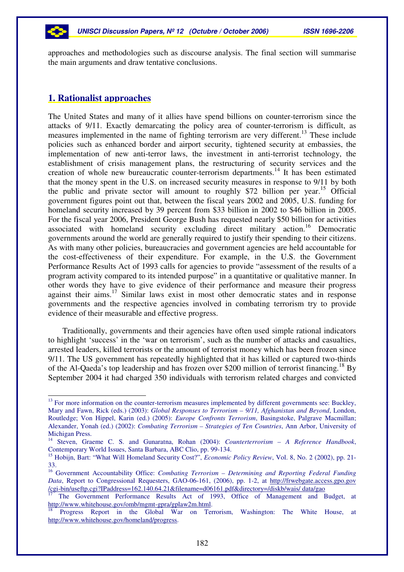

approaches and methodologies such as discourse analysis. The final section will summarise the main arguments and draw tentative conclusions.

## **1. Rationalist approaches**

The United States and many of it allies have spend billions on counter-terrorism since the attacks of 9/11. Exactly demarcating the policy area of counter-terrorism is difficult, as measures implemented in the name of fighting terrorism are very different.<sup>13</sup> These include policies such as enhanced border and airport security, tightened security at embassies, the implementation of new anti-terror laws, the investment in anti-terrorist technology, the establishment of crisis management plans, the restructuring of security services and the creation of whole new bureaucratic counter-terrorism departments.<sup>14</sup> It has been estimated that the money spent in the U.S. on increased security measures in response to 9/11 by both the public and private sector will amount to roughly \$72 billion per year. <sup>15</sup> Official government figures point out that, between the fiscal years 2002 and 2005, U.S. funding for homeland security increased by 39 percent from \$33 billion in 2002 to \$46 billion in 2005. For the fiscal year 2006, President George Bush has requested nearly \$50 billion for activities associated with homeland security excluding direct military action. <sup>16</sup> Democratic governments around the world are generally required to justify their spending to their citizens. As with many other policies, bureaucracies and government agencies are held accountable for the cost-effectiveness of their expenditure. For example, in the U.S. the Government Performance Results Act of 1993 calls for agencies to provide "assessment of the results of a program activity compared to its intended purpose" in a quantitative or qualitative manner. In other words they have to give evidence of their performance and measure their progress against their aims.<sup>17</sup> Similar laws exist in most other democratic states and in response governments and the respective agencies involved in combating terrorism try to provide evidence of their measurable and effective progress.

Traditionally, governments and their agencies have often used simple rational indicators to highlight 'success' in the 'war on terrorism', such as the number of attacks and casualties, arrested leaders, killed terrorists or the amount of terrorist money which has been frozen since 9/11. The US government has repeatedly highlighted that it has killed or captured two-thirds of the Al-Qaeda's top leadership and has frozen over \$200 million of terrorist financing.<sup>18</sup> By September 2004 it had charged 350 individuals with terrorism related charges and convicted

<sup>&</sup>lt;sup>13</sup> For more information on the counter-terrorism measures implemented by different governments see: Buckley, Mary and Fawn, Rick (eds.) (2003): *Global Responses to Terrorism – 9/11, Afghanistan and Beyond*, London, Routledge; Von Hippel, Karin (ed.) (2005): *Europe Confronts Terrorism*, Basingstoke, Palgrave Macmillan; Alexander, Yonah (ed.) (2002): *Combating Terrorism – Strategies of Ten Countries*, Ann Arbor, University of Michigan Press.

<sup>14</sup> Steven, Graeme C. S. and Gunaratna, Rohan (2004): *Counterterrorism – A Reference Handbook*, Contemporary World Issues, Santa Barbara, ABC Clio, pp. 99-134.

<sup>&</sup>lt;sup>15</sup> Hobijn, Bart: "What Will Homeland Security Cost?", *Economic Policy Review*, Vol. 8, No. 2 (2002), pp. 21-33.

<sup>16</sup> Government Accountability Office: *Combating Terrorism – Determining and Reporting Federal Funding Data*, Report to Congressional Requesters, GAO-06-161, (2006), pp. 1-2, at http://frwebgate.access.gpo.gov /cgi-bin/useftp.cgi?IPaddress=162.140.64.21&filename=d06161.pdf&directory=/diskb/wais/ data/gao

<sup>17</sup> The Government Performance Results Act of 1993, Office of Management and Budget, at http://www.whitehouse.gov/omb/mgmt-gpra/gplaw2m.html.

<sup>18</sup> Progress Report in the Global War on Terrorism, Washington: The White House, at http://www.whitehouse.gov/homeland/progress.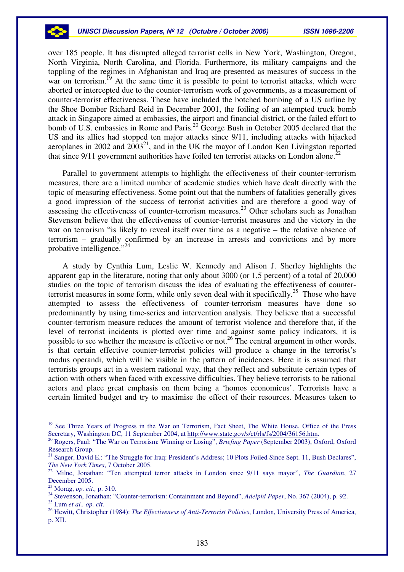

over 185 people. It has disrupted alleged terrorist cells in New York, Washington, Oregon, North Virginia, North Carolina, and Florida. Furthermore, its military campaigns and the toppling of the regimes in Afghanistan and Iraq are presented as measures of success in the war on terrorism.<sup>19</sup> At the same time it is possible to point to terrorist attacks, which were aborted or intercepted due to the counter-terrorism work of governments, as a measurement of counter-terrorist effectiveness. These have included the botched bombing of a US airline by the Shoe Bomber Richard Reid in December 2001, the foiling of an attempted truck bomb attack in Singapore aimed at embassies, the airport and financial district, or the failed effort to bomb of U.S. embassies in Rome and Paris.<sup>20</sup> George Bush in October 2005 declared that the US and its allies had stopped ten major attacks since 9/11, including attacks with hijacked aeroplanes in 2002 and  $2003^{21}$ , and in the UK the mayor of London Ken Livingston reported that since  $9/11$  government authorities have foiled ten terrorist attacks on London alone.<sup>22</sup>

Parallel to government attempts to highlight the effectiveness of their counter-terrorism measures, there are a limited number of academic studies which have dealt directly with the topic of measuring effectiveness. Some point out that the numbers of fatalities generally gives a good impression of the success of terrorist activities and are therefore a good way of assessing the effectiveness of counter-terrorism measures.<sup>23</sup> Other scholars such as Jonathan Stevenson believe that the effectiveness of counter-terrorist measures and the victory in the war on terrorism "is likely to reveal itself over time as a negative – the relative absence of terrorism – gradually confirmed by an increase in arrests and convictions and by more probative intelligence."<sup>24</sup>

A study by Cynthia Lum, Leslie W. Kennedy and Alison J. Sherley highlights the apparent gap in the literature, noting that only about 3000 (or 1,5 percent) of a total of 20,000 studies on the topic of terrorism discuss the idea of evaluating the effectiveness of counterterrorist measures in some form, while only seven deal with it specifically.<sup>25</sup> Those who have attempted to assess the effectiveness of counter-terrorism measures have done so predominantly by using time-series and intervention analysis. They believe that a successful counter-terrorism measure reduces the amount of terrorist violence and therefore that, if the level of terrorist incidents is plotted over time and against some policy indicators, it is possible to see whether the measure is effective or not.<sup>26</sup> The central argument in other words, is that certain effective counter-terrorist policies will produce a change in the terrorist's modus operandi, which will be visible in the pattern of incidences. Here it is assumed that terrorists groups act in a western rational way, that they reflect and substitute certain types of action with others when faced with excessive difficulties. They believe terrorists to be rational actors and place great emphasis on them being a 'homos economicus'. Terrorists have a certain limited budget and try to maximise the effect of their resources. Measures taken to

<sup>&</sup>lt;sup>19</sup> See Three Years of Progress in the War on Terrorism, Fact Sheet, The White House, Office of the Press Secretary, Washington DC, 11 September 2004, at http://www.state.gov/s/ct/rls/fs/2004/36156.htm.

<sup>20</sup> Rogers, Paul: "The War on Terrorism: Winning or Losing", *Briefing Paper* (September 2003), Oxford, Oxford Research Group.

<sup>&</sup>lt;sup>21</sup> Sanger, David E.: "The Struggle for Iraq: President's Address; 10 Plots Foiled Since Sept. 11, Bush Declares", *The New York Times*, 7 October 2005.

<sup>22</sup> Milne, Jonathan: "Ten attempted terror attacks in London since 9/11 says mayor", *The Guardian*, 27 December 2005.

<sup>23</sup> Morag, *op. cit.,* p. 310.

<sup>24</sup> Stevenson, Jonathan: "Counter-terrorism: Containment and Beyond", *Adelphi Paper*, No. 367 (2004), p. 92.

<sup>25</sup> Lum *et al., op. cit.*

<sup>26</sup> Hewitt, Christopher (1984): *The Effectiveness of Anti-Terrorist Policies*, London, University Press of America, p. XII.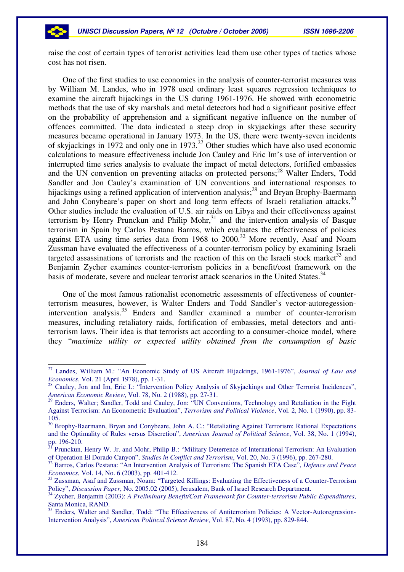raise the cost of certain types of terrorist activities lead them use other types of tactics whose cost has not risen.

One of the first studies to use economics in the analysis of counter-terrorist measures was by William M. Landes, who in 1978 used ordinary least squares regression techniques to examine the aircraft hijackings in the US during 1961-1976. He showed with econometric methods that the use of sky marshals and metal detectors had had a significant positive effect on the probability of apprehension and a significant negative influence on the number of offences committed. The data indicated a steep drop in skyjackings after these security measures became operational in January 1973. In the US, there were twenty-seven incidents of skyjackings in 1972 and only one in 1973.<sup>27</sup> Other studies which have also used economic calculations to measure effectiveness include Jon Cauley and Eric Im's use of intervention or interrupted time series analysis to evaluate the impact of metal detectors, fortified embassies and the UN convention on preventing attacks on protected persons; <sup>28</sup> Walter Enders, Todd Sandler and Jon Cauley's examination of UN conventions and international responses to hijackings using a refined application of intervention analysis;<sup>29</sup> and Bryan Brophy-Baermann and John Conybeare's paper on short and long term effects of Israeli retaliation attacks.<sup>30</sup> Other studies include the evaluation of U.S. air raids on Libya and their effectiveness against terrorism by Henry Prunckun and Philip Mohr, $31$  and the intervention analysis of Basque terrorism in Spain by Carlos Pestana Barros, which evaluates the effectiveness of policies against ETA using time series data from 1968 to 2000.<sup>32</sup> More recently, Asaf and Noam Zussman have evaluated the effectiveness of a counter-terrorism policy by examining Israeli targeted assassinations of terrorists and the reaction of this on the Israeli stock market<sup>33</sup> and Benjamin Zycher examines counter-terrorism policies in a benefit/cost framework on the basis of moderate, severe and nuclear terrorist attack scenarios in the United States.<sup>34</sup>

One of the most famous rationalist econometric assessments of effectiveness of counterterrorism measures, however, is Walter Enders and Todd Sandler's vector-autoregessionintervention analysis.<sup>35</sup> Enders and Sandler examined a number of counter-terrorism measures, including retaliatory raids, fortification of embassies, metal detectors and antiterrorism laws. Their idea is that terrorists act according to a consumer-choice model, where they "*maximize utility or expected utility obtained from the consumption of basic*

<sup>27</sup> Landes, William M.: "An Economic Study of US Aircraft Hijackings, 1961-1976", *Journal of Law and Economics*, Vol. 21 (April 1978), pp. 1-31.

<sup>&</sup>lt;sup>28</sup> Cauley, Jon and Im, Eric I.: "Intervention Policy Analysis of Skyjackings and Other Terrorist Incidences", *American Economic Review*, Vol. 78, No. 2 (1988), pp. 27-31.

<sup>&</sup>lt;sup>29</sup> Enders, Walter; Sandler, Todd and Cauley, Jon: "UN Conventions, Technology and Retaliation in the Fight Against Terrorism: An Econometric Evaluation", *Terrorism and Political Violence*, Vol. 2, No. 1 (1990), pp. 83- 105.

<sup>&</sup>lt;sup>30</sup> Brophy-Baermann, Bryan and Conybeare, John A. C.: "Retaliating Against Terrorism: Rational Expectations and the Optimality of Rules versus Discretion", *American Journal of Political Science*, Vol. 38, No. 1 (1994), pp. 196-210.<br><sup>31</sup> Prunclain

Prunckun, Henry W. Jr. and Mohr, Philip B.: "Military Deterrence of International Terrorism: An Evaluation of Operation El Dorado Canyon", *Studies in Conflict and Terrorism*, Vol. 20, No. 3 (1996), pp. 267-280.

<sup>32</sup> Barros, Carlos Pestana: "An Intervention Analysis of Terrorism: The Spanish ETA Case", *Defence and Peace Economics*, Vol. 14, No. 6 (2003), pp. 401-412.

<sup>&</sup>lt;sup>33</sup> Zussman, Asaf and Zussman, Noam: "Targeted Killings: Evaluating the Effectiveness of a Counter-Terrorism Policy", *Discussion Paper*, No. 2005.02 (2005), Jerusalem, Bank of Israel Research Department.

<sup>34</sup> Zycher, Benjamin (2003): *A Preliminary Benefit/Cost Framework for Counter-terrorism Public Expenditures*, Santa Monica, RAND.

<sup>&</sup>lt;sup>35</sup> Enders, Walter and Sandler, Todd: "The Effectiveness of Antiterrorism Policies: A Vector-Autoregression-Intervention Analysis", *American Political Science Review*, Vol. 87, No. 4 (1993), pp. 829-844.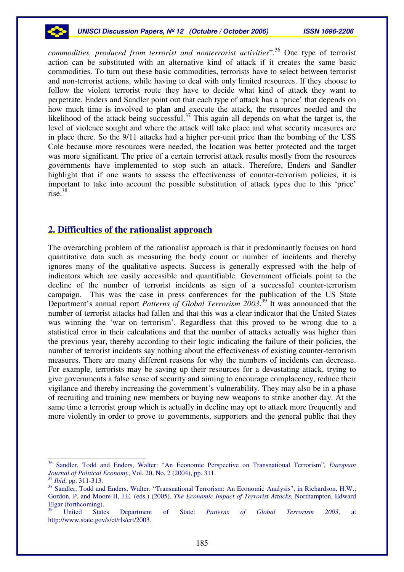

*commodities, produced from terrorist and nonterrorist activities*". <sup>36</sup> One type of terrorist action can be substituted with an alternative kind of attack if it creates the same basic commodities. To turn out these basic commodities, terrorists have to select between terrorist and non-terrorist actions, while having to deal with only limited resources. If they choose to follow the violent terrorist route they have to decide what kind of attack they want to perpetrate. Enders and Sandler point out that each type of attack has a 'price' that depends on how much time is involved to plan and execute the attack, the resources needed and the likelihood of the attack being successful.<sup>37</sup> This again all depends on what the target is, the level of violence sought and where the attack will take place and what security measures are in place there. So the 9/11 attacks had a higher per-unit price than the bombing of the USS Cole because more resources were needed, the location was better protected and the target was more significant. The price of a certain terrorist attack results mostly from the resources governments have implemented to stop such an attack. Therefore, Enders and Sandler highlight that if one wants to assess the effectiveness of counter-terrorism policies, it is important to take into account the possible substitution of attack types due to this 'price' rise. 38

# **2. Difficulties of the rationalist approach**

The overarching problem of the rationalist approach is that it predominantly focuses on hard quantitative data such as measuring the body count or number of incidents and thereby ignores many of the qualitative aspects. Success is generally expressed with the help of indicators which are easily accessible and quantifiable. Government officials point to the decline of the number of terrorist incidents as sign of a successful counter-terrorism campaign. This was the case in press conferences for the publication of the US State Department's annual report *Patterns of Global Terrorism 2003*. 39 It was announced that the number of terrorist attacks had fallen and that this was a clear indicator that the United States was winning the 'war on terrorism'. Regardless that this proved to be wrong due to a statistical error in their calculations and that the number of attacks actually was higher than the previous year, thereby according to their logic indicating the failure of their policies, the number of terrorist incidents say nothing about the effectiveness of existing counter-terrorism measures. There are many different reasons for why the numbers of incidents can decrease. For example, terrorists may be saving up their resources for a devastating attack, trying to give governments a false sense of security and aiming to encourage complacency, reduce their vigilance and thereby increasing the government's vulnerability. They may also be in a phase of recruiting and training new members or buying new weapons to strike another day. At the same time a terrorist group which is actually in decline may opt to attack more frequently and more violently in order to prove to governments, supporters and the general public that they

<sup>36</sup> Sandler, Todd and Enders, Walter: "An Economic Perspective on Transnational Terrorism", *European Journal of Political Economy*, Vol. 20, No. 2 (2004), pp. 311.

<sup>37</sup> *Ibid*, pp. 311-313.

<sup>&</sup>lt;sup>38</sup> Sandler, Todd and Enders, Walter: "Transnational Terrorism: An Economic Analysis", in Richardson, H.W.; Gordon, P. and Moore II, J.E. (eds.) (2005), *The Economic Impact of Terrorist Attacks*, Northampton, Edward Elgar (forthcoming).

<sup>39</sup> United States Department of State: *Patterns of Global Terrorism 2003*, at http://www.state.gov/s/ct/rls/crt/2003.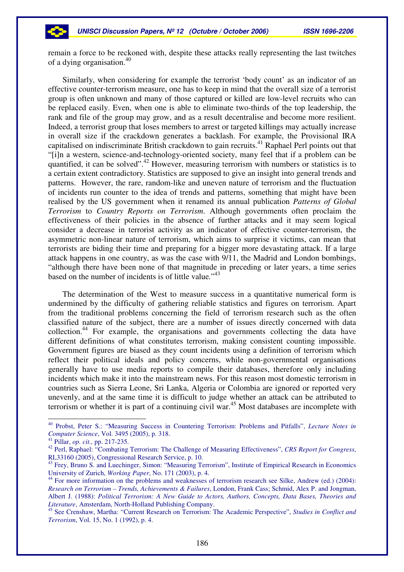remain a force to be reckoned with, despite these attacks really representing the last twitches of a dying organisation. 40

Similarly, when considering for example the terrorist 'body count' as an indicator of an effective counter-terrorism measure, one has to keep in mind that the overall size of a terrorist group is often unknown and many of those captured or killed are low-level recruits who can be replaced easily. Even, when one is able to eliminate two-thirds of the top leadership, the rank and file of the group may grow, and as a result decentralise and become more resilient. Indeed, a terrorist group that loses members to arrest or targeted killings may actually increase in overall size if the crackdown generates a backlash. For example, the Provisional IRA capitalised on indiscriminate British crackdown to gain recruits. <sup>41</sup> Raphael Perl points out that "[i]n a western, science-and-technology-oriented society, many feel that if a problem can be quantified, it can be solved".<sup>42</sup> However, measuring terrorism with numbers or statistics is to a certain extent contradictory. Statistics are supposed to give an insight into general trends and patterns. However, the rare, random-like and uneven nature of terrorism and the fluctuation of incidents run counter to the idea of trends and patterns, something that might have been realised by the US government when it renamed its annual publication *Patterns of Global Terrorism* to *Country Reports on Terrorism*. Although governments often proclaim the effectiveness of their policies in the absence of further attacks and it may seem logical consider a decrease in terrorist activity as an indicator of effective counter-terrorism, the asymmetric non-linear nature of terrorism, which aims to surprise it victims, can mean that terrorists are biding their time and preparing for a bigger more devastating attack. If a large attack happens in one country, as was the case with 9/11, the Madrid and London bombings, "although there have been none of that magnitude in preceding or later years, a time series based on the number of incidents is of little value*.*" 43

The determination of the West to measure success in a quantitative numerical form is undermined by the difficulty of gathering reliable statistics and figures on terrorism. Apart from the traditional problems concerning the field of terrorism research such as the often classified nature of the subject, there are a number of issues directly concerned with data collection.<sup>44</sup> For example, the organisations and governments collecting the data have different definitions of what constitutes terrorism, making consistent counting impossible. Government figures are biased as they count incidents using a definition of terrorism which reflect their political ideals and policy concerns, while non-governmental organisations generally have to use media reports to compile their databases, therefore only including incidents which make it into the mainstream news. For this reason most domestic terrorism in countries such as Sierra Leone, Sri Lanka, Algeria or Colombia are ignored or reported very unevenly, and at the same time it is difficult to judge whether an attack can be attributed to terrorism or whether it is part of a continuing civil war. <sup>45</sup> Most databases are incomplete with

<sup>40</sup> Probst, Peter S.: "Measuring Success in Countering Terrorism: Problems and Pitfalls", *Lecture Notes in Computer Science*, Vol. 3495 (2005), p. 318.

<sup>41</sup> Pillar, *op. cit.,* pp. 217-235.

<sup>42</sup> Perl, Raphael: "Combating Terrorism: The Challenge of Measuring Effectiveness", *CRS Report for Congress*, RL33160 (2005), Congressional Research Service, p. 10.

<sup>&</sup>lt;sup>43</sup> Frey, Bruno S. and Luechinger, Simon: "Measuring Terrorism", Institute of Empirical Research in Economics University of Zurich, *Working Paper*, No. 171 (2003), p. 4.

<sup>&</sup>lt;sup>44</sup> For more information on the problems and weaknesses of terrorism research see Silke, Andrew (ed.) (2004): *Research on Terrorism – Trends, Achievements & Failures*, London, Frank Cass; Schmid, Alex P. and Jongman, Albert J. (1988): *Political Terrorism: A New Guide to Actors, Authors, Concepts, Data Bases, Theories and Literature*, Amsterdam, North-Holland Publishing Company.

<sup>45</sup> See Crenshaw, Martha: "Current Research on Terrorism: The Academic Perspective", *Studies in Conflict and Terrorism*, Vol. 15, No. 1 (1992), p. 4.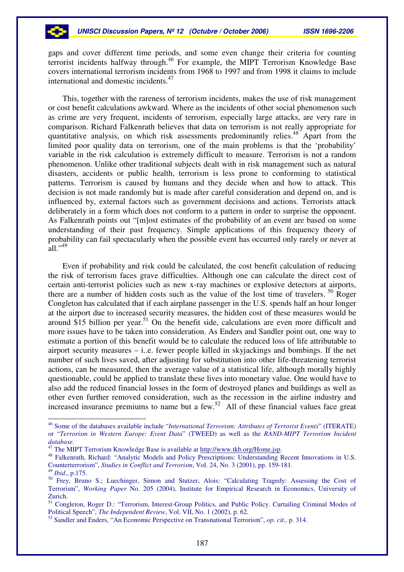gaps and cover different time periods, and some even change their criteria for counting terrorist incidents halfway through. 46 For example, the MIPT Terrorism Knowledge Base covers international terrorism incidents from 1968 to 1997 and from 1998 it claims to include international and domestic incidents. 47

This, together with the rareness of terrorism incidents, makes the use of risk management or cost benefit calculations awkward. Where as the incidents of other social phenomenon such as crime are very frequent, incidents of terrorism, especially large attacks, are very rare in comparison. Richard Falkenrath believes that data on terrorism is not really appropriate for quantitative analysis, on which risk assessments predominantly relies.<sup>48</sup> Apart from the limited poor quality data on terrorism, one of the main problems is that the 'probability' variable in the risk calculation is extremely difficult to measure. Terrorism is not a random phenomenon. Unlike other traditional subjects dealt with in risk management such as natural disasters, accidents or public health, terrorism is less prone to conforming to statistical patterns. Terrorism is caused by humans and they decide when and how to attack. This decision is not made randomly but is made after careful consideration and depend on, and is influenced by, external factors such as government decisions and actions. Terrorists attack deliberately in a form which does not conform to a pattern in order to surprise the opponent. As Falkenrath points out "[m]ost estimates of the probability of an event are based on some understanding of their past frequency. Simple applications of this frequency theory of probability can fail spectacularly when the possible event has occurred only rarely or never at  $all.^{949}$ 

Even if probability and risk could be calculated, the cost benefit calculation of reducing the risk of terrorism faces grave difficulties. Although one can calculate the direct cost of certain anti-terrorist policies such as new x-ray machines or explosive detectors at airports, there are a number of hidden costs such as the value of the lost time of travelers.<sup>50</sup> Roger Congleton has calculated that if each airplane passenger in the U.S. spends half an hour longer at the airport due to increased security measures, the hidden cost of these measures would be around \$15 billion per year.<sup>51</sup> On the benefit side, calculations are even more difficult and more issues have to be taken into consideration. As Enders and Sandler point out, one way to estimate a portion of this benefit would be to calculate the reduced loss of life attributable to airport security measures – i..e. fewer people killed in skyjackings and bombings. If the net number of such lives saved, after adjusting for substitution into other life-threatening terrorist actions, can be measured, then the average value of a statistical life, although morally highly questionable, could be applied to translate these lives into monetary value. One would have to also add the reduced financial losses in the form of destroyed planes and buildings as well as other even further removed consideration, such as the recession in the airline industry and increased insurance premiums to name but a few.<sup>52</sup> All of these financial values face great

<sup>46</sup> Some of the databases available include "*International Terrorism: Attributes of Terrorist Events*" (ITERATE) or "*Terrorism in Western Europe: Event Data*" (TWEED) as well as the *RAND-MIPT Terrorism Incident database.*

<sup>&</sup>lt;sup>47</sup> The MIPT Terrorism Knowledge Base is available at http://www.tkb.org/Home.jsp.

<sup>&</sup>lt;sup>48</sup> Falkenrath, Richard: "Analytic Models and Policy Prescriptions: Understanding Recent Innovations in U.S. Counterterrorism", *Studies in Conflict and Terrorism*, Vol. 24, No. 3 (2001), pp. 159-181.

<sup>49</sup> *Ibid*., p.175.

<sup>50</sup> Frey, Bruno S.; Luechinger, Simon and Stutzer, Alois: "Calculating Tragedy: Assessing the Cost of Terrorism", *Working Paper* No. 205 (2004), Institute for Empirical Research in Economics, University of Zurich.

<sup>51</sup> Congleton, Roger D.: "Terrorism, Interest-Group Politics, and Public Policy. Curtailing Criminal Modes of Political Speech", *The Independent Review*, Vol. VII, No. 1 (2002), p. 62.

<sup>52</sup> Sandler and Enders, "An Economic Perspective on Transnational Terrorism", *op. cit.,* p. 314.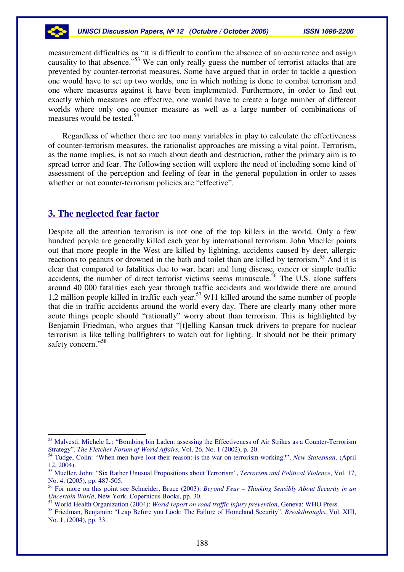measurement difficulties as "it is difficult to confirm the absence of an occurrence and assign causality to that absence."<sup>53</sup> We can only really guess the number of terrorist attacks that are prevented by counter-terrorist measures. Some have argued that in order to tackle a question one would have to set up two worlds, one in which nothing is done to combat terrorism and one where measures against it have been implemented. Furthermore, in order to find out exactly which measures are effective, one would have to create a large number of different worlds where only one counter measure as well as a large number of combinations of measures would be tested. 54

Regardless of whether there are too many variables in play to calculate the effectiveness of counter-terrorism measures, the rationalist approaches are missing a vital point. Terrorism, as the name implies, is not so much about death and destruction, rather the primary aim is to spread terror and fear. The following section will explore the need of including some kind of assessment of the perception and feeling of fear in the general population in order to asses whether or not counter-terrorism policies are "effective".

## **3. The neglected fear factor**

Despite all the attention terrorism is not one of the top killers in the world. Only a few hundred people are generally killed each year by international terrorism. John Mueller points out that more people in the West are killed by lightning, accidents caused by deer, allergic reactions to peanuts or drowned in the bath and toilet than are killed by terrorism.<sup>55</sup> And it is clear that compared to fatalities due to war, heart and lung disease, cancer or simple traffic accidents, the number of direct terrorist victims seems minuscule. 56 The U.S. alone suffers around 40 000 fatalities each year through traffic accidents and worldwide there are around 1,2 million people killed in traffic each year. 57 9/11 killed around the same number of people that die in traffic accidents around the world every day. There are clearly many other more acute things people should "rationally" worry about than terrorism. This is highlighted by Benjamin Friedman, who argues that "[t]elling Kansan truck drivers to prepare for nuclear terrorism is like telling bullfighters to watch out for lighting. It should not be their primary safety concern."<sup>58</sup>

<sup>53</sup> Malvesti, Michele L.: "Bombing bin Laden: assessing the Effectiveness of Air Strikes as a Counter-Terrorism Strategy", *The Fletcher Forum of World Affairs*, Vol. 26, No. 1 (2002), p. 20.

<sup>54</sup> Tudge, Colin: "When men have lost their reason: is the war on terrorism working?", *New Statesman*, (April 12, 2004).

<sup>55</sup> Mueller, John: "Six Rather Unusual Propositions about Terrorism", *Terrorism and Political Violence*, Vol. 17, No. 4, (2005), pp. 487-505.

<sup>56</sup> For more on this point see Schneider, Bruce (2003): *Beyond Fear – Thinking Sensibly About Security in an Uncertain World*, New York, Copernicus Books, pp. 30.

<sup>57</sup> World Health Organization (2004): *World report on road traffic injury prevention*, Geneva: WHO Press.

<sup>58</sup> Friedman, Benjamin: "Leap Before you Look: The Failure of Homeland Security", *Breakthroughs*, Vol. XIII, No. 1, (2004), pp. 33.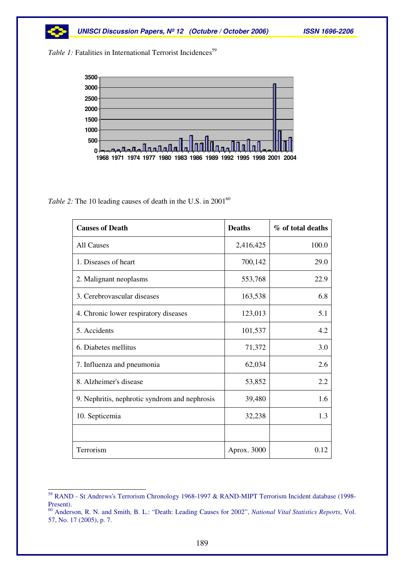

Table 1: Fatalities in International Terrorist Incidences<sup>59</sup>



*Table* 2: The 10 leading causes of death in the U.S. in 2001<sup>60</sup>

| <b>Causes of Death</b>                        | <b>Deaths</b> | % of total deaths |
|-----------------------------------------------|---------------|-------------------|
| <b>All Causes</b>                             | 2,416,425     | 100.0             |
| 1. Diseases of heart                          | 700,142       | 29.0              |
| 2. Malignant neoplasms                        | 553,768       | 22.9              |
| 3. Cerebrovascular diseases                   | 163,538       | 6.8               |
| 4. Chronic lower respiratory diseases         | 123,013       | 5.1               |
| 5. Accidents                                  | 101,537       | 4.2               |
| 6. Diabetes mellitus                          | 71,372        | 3.0               |
| 7. Influenza and pneumonia                    | 62,034        | 2.6               |
| 8. Alzheimer's disease                        | 53,852        | 2.2               |
| 9. Nephritis, nephrotic syndrom and nephrosis | 39,480        | 1.6               |
| 10. Septicemia                                | 32,238        | 1.3               |
|                                               |               |                   |
| Terrorism                                     | Aprox. 3000   | 0.12              |

<sup>59</sup> RAND - St Andrews's Terrorism Chronology 1968-1997 & RAND-MIPT Terrorism Incident database (1998- Present).

<sup>60</sup> Anderson, R. N. and Smith, B. L.: "Death: Leading Causes for 2002", *National Vital Statistics Reports*, Vol. 57, No. 17 (2005), p. 7.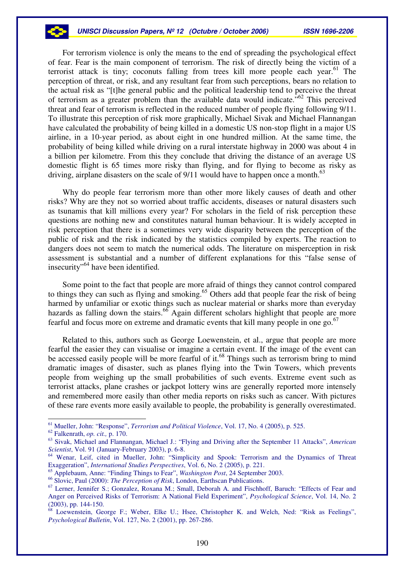For terrorism violence is only the means to the end of spreading the psychological effect of fear. Fear is the main component of terrorism. The risk of directly being the victim of a terrorist attack is tiny; coconuts falling from trees kill more people each year.<sup>61</sup> The perception of threat, or risk, and any resultant fear from such perceptions, bears no relation to the actual risk as "[t]he general public and the political leadership tend to perceive the threat of terrorism as a greater problem than the available data would indicate.<sup>562</sup> This perceived threat and fear of terrorism is reflected in the reduced number of people flying following 9/11. To illustrate this perception of risk more graphically, Michael Sivak and Michael Flannangan have calculated the probability of being killed in a domestic US non-stop flight in a major US airline, in a 10-year period, as about eight in one hundred million. At the same time, the probability of being killed while driving on a rural interstate highway in 2000 was about 4 in a billion per kilometre. From this they conclude that driving the distance of an average US domestic flight is 65 times more risky than flying, and for flying to become as risky as driving, airplane disasters on the scale of 9/11 would have to happen once a month.<sup>63</sup>

Why do people fear terrorism more than other more likely causes of death and other risks? Why are they not so worried about traffic accidents, diseases or natural disasters such as tsunamis that kill millions every year? For scholars in the field of risk perception these questions are nothing new and constitutes natural human behaviour. It is widely accepted in risk perception that there is a sometimes very wide disparity between the perception of the public of risk and the risk indicated by the statistics compiled by experts. The reaction to dangers does not seem to match the numerical odds. The literature on misperception in risk assessment is substantial and a number of different explanations for this "false sense of insecurity"<sup>64</sup> have been identified.

Some point to the fact that people are more afraid of things they cannot control compared to things they can such as flying and smoking. <sup>65</sup> Others add that people fear the risk of being harmed by unfamiliar or exotic things such as nuclear material or sharks more than everyday hazards as falling down the stairs.<sup>66</sup> Again different scholars highlight that people are more fearful and focus more on extreme and dramatic events that kill many people in one go. 67

Related to this, authors such as George Loewenstein, et al., argue that people are more fearful the easier they can visualise or imagine a certain event. If the image of the event can be accessed easily people will be more fearful of it.<sup>68</sup> Things such as terrorism bring to mind dramatic images of disaster, such as planes flying into the Twin Towers, which prevents people from weighing up the small probabilities of such events. Extreme event such as terrorist attacks, plane crashes or jackpot lottery wins are generally reported more intensely and remembered more easily than other media reports on risks such as cancer. With pictures of these rare events more easily available to people, the probability is generally overestimated.

<sup>61</sup> Mueller, John: "Response", *Terrorism and Political Violence*, Vol. 17, No. 4 (2005), p. 525.

<sup>62</sup> Falkenrath, *op. cit.,* p. 170.

<sup>63</sup> Sivak, Michael and Flannangan, Michael J.: "Flying and Driving after the September 11 Attacks", *American Scientist*, Vol. 91 (January-February 2003), p. 6-8.

<sup>64</sup> Wenar, Leif, cited in Mueller, John: "Simplicity and Spook: Terrorism and the Dynamics of Threat Exaggeration", *International Studies Perspectives*, Vol. 6, No. 2 (2005), p. 221.

<sup>65</sup> Applebaum, Anne: "Finding Things to Fear", *Washington Post*, 24 September 2003.

<sup>66</sup> Slovic, Paul (2000): *The Perception of Risk*, London, Earthscan Publications.

<sup>&</sup>lt;sup>67</sup> Lerner, Jennifer S.; Gonzalez, Roxana M.; Small, Deborah A. and Fischhoff, Baruch: "Effects of Fear and Anger on Perceived Risks of Terrorism: A National Field Experiment", *Psychological Science*, Vol. 14, No. 2 (2003), pp. 144-150.

<sup>68</sup> Loewenstein, George F.; Weber, Elke U.; Hsee, Christopher K. and Welch, Ned: "Risk as Feelings", *Psychological Bulletin*, Vol. 127, No. 2 (2001), pp. 267-286.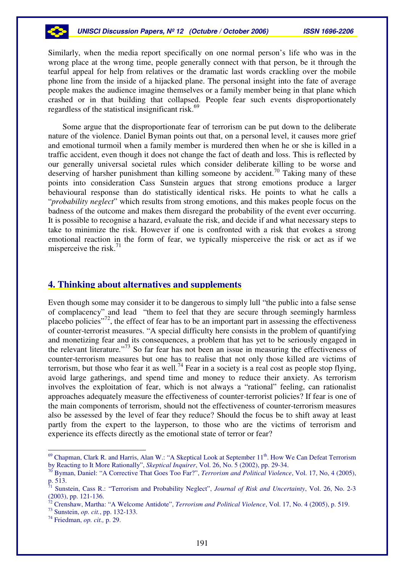#### *UNISCI Discussion Papers, Nº 12 (Octubre / October 2006) ISSN 1696-2206*

Similarly, when the media report specifically on one normal person's life who was in the wrong place at the wrong time, people generally connect with that person, be it through the tearful appeal for help from relatives or the dramatic last words crackling over the mobile phone line from the inside of a hijacked plane. The personal insight into the fate of average people makes the audience imagine themselves or a family member being in that plane which crashed or in that building that collapsed. People fear such events disproportionately regardless of the statistical insignificant risk.<sup>69</sup>

Some argue that the disproportionate fear of terrorism can be put down to the deliberate nature of the violence. Daniel Byman points out that, on a personal level, it causes more grief and emotional turmoil when a family member is murdered then when he or she is killed in a traffic accident, even though it does not change the fact of death and loss. This is reflected by our generally universal societal rules which consider deliberate killing to be worse and deserving of harsher punishment than killing someone by accident.<sup>70</sup> Taking many of these points into consideration Cass Sunstein argues that strong emotions produce a larger behavioural response than do statistically identical risks. He points to what he calls a "*probability neglect*" which results from strong emotions, and this makes people focus on the badness of the outcome and makes them disregard the probability of the event ever occurring. It is possible to recognise a hazard, evaluate the risk, and decide if and what necessary steps to take to minimize the risk. However if one is confronted with a risk that evokes a strong emotional reaction in the form of fear, we typically misperceive the risk or act as if we misperceive the risk.<sup>71</sup>

#### **4. Thinking about alternatives and supplements**

Even though some may consider it to be dangerous to simply lull "the public into a false sense of complacency" and lead "them to feel that they are secure through seemingly harmless placebo policies"<sup>72</sup>, the effect of fear has to be an important part in assessing the effectiveness of counter-terrorist measures. "A special difficulty here consists in the problem of quantifying and monetizing fear and its consequences, a problem that has yet to be seriously engaged in the relevant literature*.*" 73 So far fear has not been an issue in measuring the effectiveness of counter-terrorism measures but one has to realise that not only those killed are victims of terrorism, but those who fear it as well.<sup>74</sup> Fear in a society is a real cost as people stop flying, avoid large gatherings, and spend time and money to reduce their anxiety. As terrorism involves the exploitation of fear, which is not always a "rational" feeling, can rationalist approaches adequately measure the effectiveness of counter-terrorist policies? If fear is one of the main components of terrorism, should not the effectiveness of counter-terrorism measures also be assessed by the level of fear they reduce? Should the focus be to shift away at least partly from the expert to the layperson, to those who are the victims of terrorism and experience its effects directly as the emotional state of terror or fear?

 $69$  Chapman, Clark R. and Harris, Alan W.: "A Skeptical Look at September  $11<sup>th</sup>$ . How We Can Defeat Terrorism by Reacting to It More Rationally", *Skeptical Inquirer*, Vol. 26, No. 5 (2002), pp. 29-34.

<sup>70</sup> Byman, Daniel: "A Corrective That Goes Too Far?", *Terrorism and Political Violence*, Vol. 17, No, 4 (2005), p. 513.<br><sup>71</sup>. Supe

Sunstein, Cass R.: "Terrorism and Probability Neglect", *Journal of Risk and Uncertainty*, Vol. 26, No. 2-3 (2003), pp. 121-136.

<sup>72</sup> Crenshaw, Martha: "A Welcome Antidote", *Terrorism and Political Violence*, Vol. 17, No. 4 (2005), p. 519.

<sup>73</sup> Sunstein, *op. cit.*, pp. 132-133.

<sup>74</sup> Friedman, *op. cit.,* p. 29.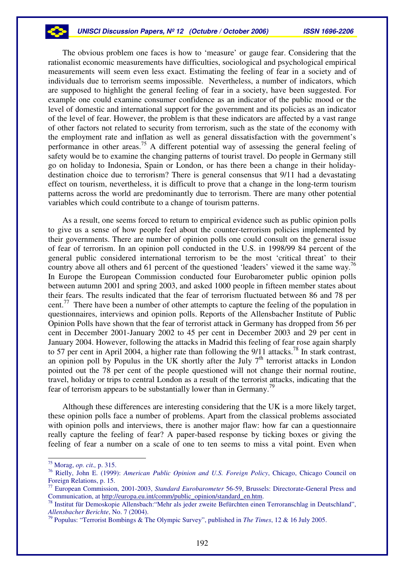The obvious problem one faces is how to 'measure' or gauge fear. Considering that the rationalist economic measurements have difficulties, sociological and psychological empirical measurements will seem even less exact. Estimating the feeling of fear in a society and of individuals due to terrorism seems impossible. Nevertheless, a number of indicators, which are supposed to highlight the general feeling of fear in a society, have been suggested. For example one could examine consumer confidence as an indicator of the public mood or the level of domestic and international support for the government and its policies as an indicator of the level of fear. However, the problem is that these indicators are affected by a vast range of other factors not related to security from terrorism, such as the state of the economy with the employment rate and inflation as well as general dissatisfaction with the government's performance in other areas.<sup>75</sup> A different potential way of assessing the general feeling of safety would be to examine the changing patterns of tourist travel. Do people in Germany still go on holiday to Indonesia, Spain or London, or has there been a change in their holidaydestination choice due to terrorism? There is general consensus that 9/11 had a devastating effect on tourism, nevertheless, it is difficult to prove that a change in the long-term tourism patterns across the world are predominantly due to terrorism. There are many other potential variables which could contribute to a change of tourism patterns.

As a result, one seems forced to return to empirical evidence such as public opinion polls to give us a sense of how people feel about the counter-terrorism policies implemented by their governments. There are number of opinion polls one could consult on the general issue of fear of terrorism. In an opinion poll conducted in the U.S. in 1998/99 84 percent of the general public considered international terrorism to be the most 'critical threat' to their country above all others and 61 percent of the questioned 'leaders' viewed it the same way.<sup>76</sup> In Europe the European Commission conducted four Eurobarometer public opinion polls between autumn 2001 and spring 2003, and asked 1000 people in fifteen member states about their fears. The results indicated that the fear of terrorism fluctuated between 86 and 78 per cent.<sup>77</sup> There have been a number of other attempts to capture the feeling of the population in questionnaires, interviews and opinion polls. Reports of the Allensbacher Institute of Public Opinion Polls have shown that the fear of terrorist attack in Germany has dropped from 56 per cent in December 2001-January 2002 to 45 per cent in December 2003 and 29 per cent in January 2004. However, following the attacks in Madrid this feeling of fear rose again sharply to 57 per cent in April 2004, a higher rate than following the 9/11 attacks.<sup>78</sup> In stark contrast, an opinion poll by Populus in the UK shortly after the July  $7<sup>th</sup>$  terrorist attacks in London pointed out the 78 per cent of the people questioned will not change their normal routine, travel, holiday or trips to central London as a result of the terrorist attacks, indicating that the fear of terrorism appears to be substantially lower than in Germany.<sup>79</sup>

Although these differences are interesting considering that the UK is a more likely target, these opinion polls face a number of problems. Apart from the classical problems associated with opinion polls and interviews, there is another major flaw: how far can a questionnaire really capture the feeling of fear? A paper-based response by ticking boxes or giving the feeling of fear a number on a scale of one to ten seems to miss a vital point. Even when

<sup>75</sup> Morag, *op. cit.,* p. 315.

<sup>76</sup> Rielly, John E. (1999): *American Public Opinion and U.S. Foreign Policy*, Chicago, Chicago Council on Foreign Relations, p. 15.

<sup>77</sup> European Commission, 2001-2003, *Standard Eurobarometer* 56-59, Brussels: Directorate-General Press and Communication, at http://europa.eu.int/comm/public\_opinion/standard\_en.htm.

<sup>&</sup>lt;sup>78</sup> Institut für Demoskopie Allensbach: "Mehr als jeder zweite Befürchten einen Terroranschlag in Deutschland", *Allensbacher Berichte*, No. 7 (2004).

<sup>79</sup> Populus: "Terrorist Bombings & The Olympic Survey", published in *The Times*, 12 & 16 July 2005.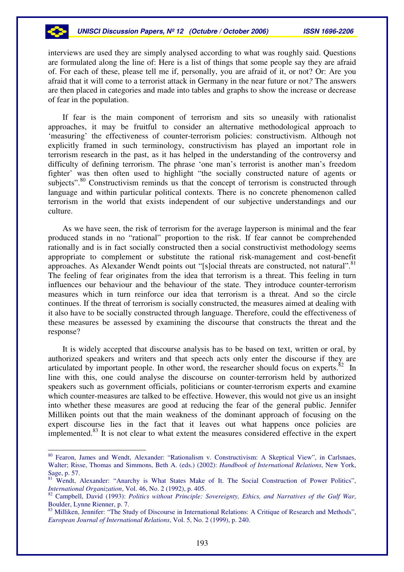interviews are used they are simply analysed according to what was roughly said. Questions are formulated along the line of: Here is a list of things that some people say they are afraid of. For each of these, please tell me if, personally, you are afraid of it, or not? Or: Are you afraid that it will come to a terrorist attack in Germany in the near future or not*?* The answers are then placed in categories and made into tables and graphs to show the increase or decrease of fear in the population.

If fear is the main component of terrorism and sits so uneasily with rationalist approaches, it may be fruitful to consider an alternative methodological approach to 'measuring' the effectiveness of counter-terrorism policies: constructivism. Although not explicitly framed in such terminology, constructivism has played an important role in terrorism research in the past, as it has helped in the understanding of the controversy and difficulty of defining terrorism. The phrase 'one man's terrorist is another man's freedom fighter' was then often used to highlight "the socially constructed nature of agents or subjects".<sup>80</sup> Constructivism reminds us that the concept of terrorism is constructed through language and within particular political contexts. There is no concrete phenomenon called terrorism in the world that exists independent of our subjective understandings and our culture.

As we have seen, the risk of terrorism for the average layperson is minimal and the fear produced stands in no "rational" proportion to the risk. If fear cannot be comprehended rationally and is in fact socially constructed then a social constructivist methodology seems appropriate to complement or substitute the rational risk-management and cost-benefit approaches. As Alexander Wendt points out "[s]ocial threats are constructed, not natural".<sup>81</sup> The feeling of fear originates from the idea that terrorism is a threat. This feeling in turn influences our behaviour and the behaviour of the state. They introduce counter-terrorism measures which in turn reinforce our idea that terrorism is a threat. And so the circle continues. If the threat of terrorism is socially constructed, the measures aimed at dealing with it also have to be socially constructed through language. Therefore, could the effectiveness of these measures be assessed by examining the discourse that constructs the threat and the response?

It is widely accepted that discourse analysis has to be based on text, written or oral, by authorized speakers and writers and that speech acts only enter the discourse if they are articulated by important people. In other word, the researcher should focus on experts. ${}^{82}$  In line with this, one could analyse the discourse on counter-terrorism held by authorized speakers such as government officials, politicians or counter-terrorism experts and examine which counter-measures are talked to be effective. However, this would not give us an insight into whether these measures are good at reducing the fear of the general public. Jennifer Milliken points out that the main weakness of the dominant approach of focusing on the expert discourse lies in the fact that it leaves out what happens once policies are implemented.<sup>83</sup> It is not clear to what extent the measures considered effective in the expert

<sup>&</sup>lt;sup>80</sup> Fearon, James and Wendt, Alexander: "Rationalism v. Constructivism: A Skeptical View", in Carlsnaes, Walter; Risse, Thomas and Simmons, Beth A. (eds.) (2002): *Handbook of International Relations*, New York, Sage, p. 57.

<sup>&</sup>lt;sup>81</sup> Wendt, Alexander: "Anarchy is What States Make of It. The Social Construction of Power Politics", *International Organization*, Vol. 46, No. 2 (1992), p. 405.

<sup>82</sup> Campbell, David (1993): *Politics without Principle: Sovereignty, Ethics, and Narratives of the Gulf War*, Boulder, Lynne Rienner, p. 7.

<sup>&</sup>lt;sup>83</sup> Milliken, Jennifer: "The Study of Discourse in International Relations: A Critique of Research and Methods", *European Journal of International Relations*, Vol. 5, No. 2 (1999), p. 240.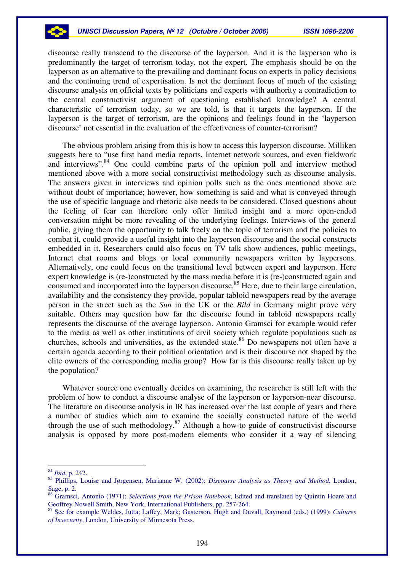discourse really transcend to the discourse of the layperson. And it is the layperson who is predominantly the target of terrorism today, not the expert. The emphasis should be on the layperson as an alternative to the prevailing and dominant focus on experts in policy decisions and the continuing trend of expertisation. Is not the dominant focus of much of the existing discourse analysis on official texts by politicians and experts with authority a contradiction to the central constructivist argument of questioning established knowledge? A central characteristic of terrorism today, so we are told, is that it targets the layperson. If the layperson is the target of terrorism, are the opinions and feelings found in the 'layperson discourse' not essential in the evaluation of the effectiveness of counter-terrorism?

The obvious problem arising from this is how to access this layperson discourse. Milliken suggests here to "use first hand media reports, Internet network sources, and even fieldwork and interviews". <sup>84</sup> One could combine parts of the opinion poll and interview method mentioned above with a more social constructivist methodology such as discourse analysis. The answers given in interviews and opinion polls such as the ones mentioned above are without doubt of importance; however, how something is said and what is conveyed through the use of specific language and rhetoric also needs to be considered. Closed questions about the feeling of fear can therefore only offer limited insight and a more open-ended conversation might be more revealing of the underlying feelings. Interviews of the general public, giving them the opportunity to talk freely on the topic of terrorism and the policies to combat it, could provide a useful insight into the layperson discourse and the social constructs embedded in it. Researchers could also focus on TV talk show audiences, public meetings, Internet chat rooms and blogs or local community newspapers written by laypersons. Alternatively, one could focus on the transitional level between expert and layperson. Here expert knowledge is (re-)constructed by the mass media before it is (re-)constructed again and consumed and incorporated into the layperson discourse. <sup>85</sup> Here, due to their large circulation, availability and the consistency they provide, popular tabloid newspapers read by the average person in the street such as the *Sun* in the UK or the *Bild* in Germany might prove very suitable. Others may question how far the discourse found in tabloid newspapers really represents the discourse of the average layperson. Antonio Gramsci for example would refer to the media as well as other institutions of civil society which regulate populations such as churches, schools and universities, as the extended state. <sup>86</sup> Do newspapers not often have a certain agenda according to their political orientation and is their discourse not shaped by the elite owners of the corresponding media group? How far is this discourse really taken up by the population?

Whatever source one eventually decides on examining, the researcher is still left with the problem of how to conduct a discourse analyse of the layperson or layperson-near discourse. The literature on discourse analysis in IR has increased over the last couple of years and there a number of studies which aim to examine the socially constructed nature of the world through the use of such methodology. <sup>87</sup> Although a how-to guide of constructivist discourse analysis is opposed by more post-modern elements who consider it a way of silencing

<sup>84</sup> *Ibid*, p. 242.

<sup>85</sup> Phillips, Louise and Jørgensen, Marianne W. (2002): *Discourse Analysis as Theory and Method*, London, Sage, p. 2.

<sup>86</sup> Gramsci, Antonio (1971): *Selections from the Prison Notebook*, Edited and translated by Quintin Hoare and Geoffrey Nowell Smith, New York, International Publishers, pp. 257-264.

<sup>87</sup> See for example Weldes, Jutta; Laffey, Mark; Gusterson, Hugh and Duvall, Raymond (eds.) (1999): *Cultures of Insecurity*, London, University of Minnesota Press.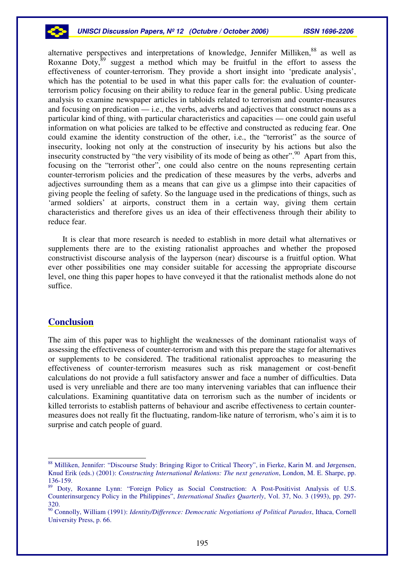

alternative perspectives and interpretations of knowledge, Jennifer Milliken,<sup>88</sup> as well as Roxanne Doty, ${}^{89}$  suggest a method which may be fruitful in the effort to assess the effectiveness of counter-terrorism. They provide a short insight into 'predicate analysis', which has the potential to be used in what this paper calls for: the evaluation of counterterrorism policy focusing on their ability to reduce fear in the general public. Using predicate analysis to examine newspaper articles in tabloids related to terrorism and counter-measures and focusing on predication — i.e., the verbs, adverbs and adjectives that construct nouns as a particular kind of thing, with particular characteristics and capacities — one could gain useful information on what policies are talked to be effective and constructed as reducing fear. One could examine the identity construction of the other, i.e., the "terrorist" as the source of insecurity, looking not only at the construction of insecurity by his actions but also the insecurity constructed by "the very visibility of its mode of being as other".<sup>90</sup> Apart from this, focusing on the "terrorist other", one could also centre on the nouns representing certain counter-terrorism policies and the predication of these measures by the verbs, adverbs and adjectives surrounding them as a means that can give us a glimpse into their capacities of giving people the feeling of safety. So the language used in the predications of things, such as 'armed soldiers' at airports, construct them in a certain way, giving them certain characteristics and therefore gives us an idea of their effectiveness through their ability to reduce fear.

It is clear that more research is needed to establish in more detail what alternatives or supplements there are to the existing rationalist approaches and whether the proposed constructivist discourse analysis of the layperson (near) discourse is a fruitful option. What ever other possibilities one may consider suitable for accessing the appropriate discourse level, one thing this paper hopes to have conveyed it that the rationalist methods alone do not suffice.

### **Conclusion**

The aim of this paper was to highlight the weaknesses of the dominant rationalist ways of assessing the effectiveness of counter-terrorism and with this prepare the stage for alternatives or supplements to be considered. The traditional rationalist approaches to measuring the effectiveness of counter-terrorism measures such as risk management or cost-benefit calculations do not provide a full satisfactory answer and face a number of difficulties. Data used is very unreliable and there are too many intervening variables that can influence their calculations. Examining quantitative data on terrorism such as the number of incidents or killed terrorists to establish patterns of behaviour and ascribe effectiveness to certain countermeasures does not really fit the fluctuating, random-like nature of terrorism, who's aim it is to surprise and catch people of guard.

<sup>88</sup> Milliken, Jennifer: "Discourse Study: Bringing Rigor to Critical Theory", in Fierke, Karin M. and Jørgensen, Knud Erik (eds.) (2001): *Constructing International Relations: The next generation*, London, M. E. Sharpe, pp. 136-159.

<sup>&</sup>lt;sup>89</sup> Doty, Roxanne Lynn: "Foreign Policy as Social Construction: A Post-Positivist Analysis of U.S. Counterinsurgency Policy in the Philippines", *International Studies Quarterly*, Vol. 37, No. 3 (1993), pp. 297- 320.

<sup>90</sup> Connolly, William (1991): *Identity/Difference: Democratic Negotiations of Political Paradox*, Ithaca, Cornell University Press, p. 66.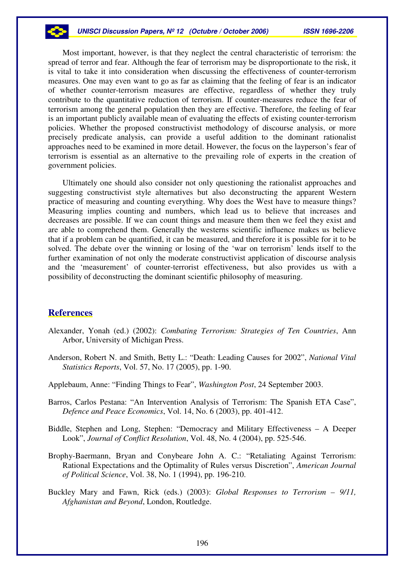#### *UNISCI Discussion Papers, Nº 12 (Octubre / October 2006) ISSN 1696-2206*

Most important, however, is that they neglect the central characteristic of terrorism: the spread of terror and fear. Although the fear of terrorism may be disproportionate to the risk, it is vital to take it into consideration when discussing the effectiveness of counter-terrorism measures. One may even want to go as far as claiming that the feeling of fear is an indicator of whether counter-terrorism measures are effective, regardless of whether they truly contribute to the quantitative reduction of terrorism. If counter-measures reduce the fear of terrorism among the general population then they are effective. Therefore, the feeling of fear is an important publicly available mean of evaluating the effects of existing counter-terrorism policies. Whether the proposed constructivist methodology of discourse analysis, or more precisely predicate analysis, can provide a useful addition to the dominant rationalist approaches need to be examined in more detail. However, the focus on the layperson's fear of terrorism is essential as an alternative to the prevailing role of experts in the creation of government policies.

Ultimately one should also consider not only questioning the rationalist approaches and suggesting constructivist style alternatives but also deconstructing the apparent Western practice of measuring and counting everything. Why does the West have to measure things? Measuring implies counting and numbers, which lead us to believe that increases and decreases are possible. If we can count things and measure them then we feel they exist and are able to comprehend them. Generally the westerns scientific influence makes us believe that if a problem can be quantified, it can be measured, and therefore it is possible for it to be solved. The debate over the winning or losing of the 'war on terrorism' lends itself to the further examination of not only the moderate constructivist application of discourse analysis and the 'measurement' of counter-terrorist effectiveness, but also provides us with a possibility of deconstructing the dominant scientific philosophy of measuring.

### **References**

- Alexander, Yonah (ed.) (2002): *Combating Terrorism: Strategies of Ten Countries*, Ann Arbor, University of Michigan Press.
- Anderson, Robert N. and Smith, Betty L.: "Death: Leading Causes for 2002", *National Vital Statistics Reports*, Vol. 57, No. 17 (2005), pp. 1-90.
- Applebaum, Anne: "Finding Things to Fear", *Washington Post*, 24 September 2003.
- Barros, Carlos Pestana: "An Intervention Analysis of Terrorism: The Spanish ETA Case", *Defence and Peace Economics*, Vol. 14, No. 6 (2003), pp. 401-412.
- Biddle, Stephen and Long, Stephen: "Democracy and Military Effectiveness A Deeper Look", *Journal of Conflict Resolution*, Vol. 48, No. 4 (2004), pp. 525-546.
- Brophy-Baermann, Bryan and Conybeare John A. C.: "Retaliating Against Terrorism: Rational Expectations and the Optimality of Rules versus Discretion", *American Journal of Political Science*, Vol. 38, No. 1 (1994), pp. 196-210.
- Buckley Mary and Fawn, Rick (eds.) (2003): *Global Responses to Terrorism – 9/11, Afghanistan and Beyond*, London, Routledge.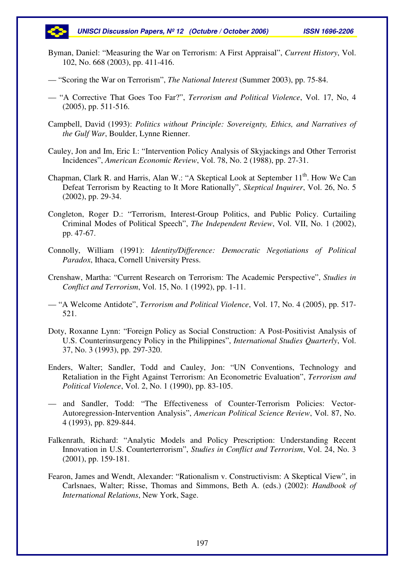

- Byman, Daniel: "Measuring the War on Terrorism: A First Appraisal", *Current History*, Vol. 102, No. 668 (2003), pp. 411-416.
- "Scoring the War on Terrorism", *The National Interest* (Summer 2003), pp. 75-84.
- "A Corrective That Goes Too Far?", *Terrorism and Political Violence*, Vol. 17, No, 4 (2005), pp. 511-516.
- Campbell, David (1993): *Politics without Principle: Sovereignty, Ethics, and Narratives of the Gulf War*, Boulder, Lynne Rienner.
- Cauley, Jon and Im, Eric I.: "Intervention Policy Analysis of Skyjackings and Other Terrorist Incidences", *American Economic Review*, Vol. 78, No. 2 (1988), pp. 27-31.
- Chapman, Clark R. and Harris, Alan W.: "A Skeptical Look at September 11<sup>th</sup>. How We Can Defeat Terrorism by Reacting to It More Rationally", *Skeptical Inquirer*, Vol. 26, No. 5 (2002), pp. 29-34.
- Congleton, Roger D.: "Terrorism, Interest-Group Politics, and Public Policy. Curtailing Criminal Modes of Political Speech", *The Independent Review*, Vol. VII, No. 1 (2002), pp. 47-67.
- Connolly, William (1991): *Identity/Difference: Democratic Negotiations of Political Paradox*, Ithaca, Cornell University Press.
- Crenshaw, Martha: "Current Research on Terrorism: The Academic Perspective", *Studies in Conflict and Terrorism*, Vol. 15, No. 1 (1992), pp. 1-11.
- "A Welcome Antidote", *Terrorism and Political Violence*, Vol. 17, No. 4 (2005), pp. 517- 521.
- Doty, Roxanne Lynn: "Foreign Policy as Social Construction: A Post-Positivist Analysis of U.S. Counterinsurgency Policy in the Philippines", *International Studies Quarterly*, Vol. 37, No. 3 (1993), pp. 297-320.
- Enders, Walter; Sandler, Todd and Cauley, Jon: "UN Conventions, Technology and Retaliation in the Fight Against Terrorism: An Econometric Evaluation", *Terrorism and Political Violence*, Vol. 2, No. 1 (1990), pp. 83-105.
- and Sandler, Todd: "The Effectiveness of Counter-Terrorism Policies: Vector-Autoregression-Intervention Analysis", *American Political Science Review*, Vol. 87, No. 4 (1993), pp. 829-844.
- Falkenrath, Richard: "Analytic Models and Policy Prescription: Understanding Recent Innovation in U.S. Counterterrorism", *Studies in Conflict and Terrorism*, Vol. 24, No. 3 (2001), pp. 159-181.
- Fearon, James and Wendt, Alexander: "Rationalism v. Constructivism: A Skeptical View", in Carlsnaes, Walter; Risse, Thomas and Simmons, Beth A. (eds.) (2002): *Handbook of International Relations*, New York, Sage.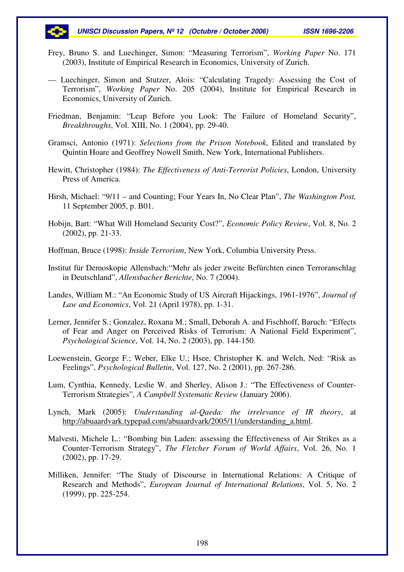

- Frey, Bruno S. and Luechinger, Simon: "Measuring Terrorism", *Working Paper* No. 171 (2003), Institute of Empirical Research in Economics, University of Zurich.
- Luechinger, Simon and Stutzer, Alois: "Calculating Tragedy: Assessing the Cost of Terrorism", *Working Paper* No. 205 (2004), Institute for Empirical Research in Economics, University of Zurich.
- Friedman, Benjamin: "Leap Before you Look: The Failure of Homeland Security", *Breakthroughs*, Vol. XIII, No. 1 (2004), pp. 29-40.
- Gramsci, Antonio (1971): *Selections from the Prison Notebook*, Edited and translated by Quintin Hoare and Geoffrey Nowell Smith, New York, International Publishers.
- Hewitt, Christopher (1984): *The Effectiveness of Anti-Terrorist Policies*, London, University Press of America.
- Hirsh, Michael: "9/11 and Counting; Four Years In, No Clear Plan", *The Washington Post,* 11 September 2005, p. B01.
- Hobijn, Bart: "What Will Homeland Security Cost?", *Economic Policy Review*, Vol. 8, No. 2 (2002), pp. 21-33.
- Hoffman, Bruce (1998): *Inside Terrorism*, New York, Columbia University Press.
- Institut für Demoskopie Allensbach:"Mehr als jeder zweite Befürchten einen Terroranschlag in Deutschland", *Allensbacher Berichte*, No. 7 (2004).
- Landes, William M.: "An Economic Study of US Aircraft Hijackings, 1961-1976", *Journal of Law and Economics*, Vol. 21 (April 1978), pp. 1-31.
- Lerner, Jennifer S.; Gonzalez, Roxana M.; Small, Deborah A. and Fischhoff, Baruch: "Effects of Fear and Anger on Perceived Risks of Terrorism: A National Field Experiment", *Psychological Science*, Vol. 14, No. 2 (2003), pp. 144-150.
- Loewenstein, George F.; Weber, Elke U.; Hsee, Christopher K. and Welch, Ned: "Risk as Feelings", *Psychological Bulletin*, Vol. 127, No. 2 (2001), pp. 267-286.
- Lum, Cynthia, Kennedy, Leslie W. and Sherley, Alison J.: "The Effectiveness of Counter-Terrorism Strategies", *A Campbell Systematic Review* (January 2006).
- Lynch, Mark (2005): *Understanding al-Qaeda: the irrelevance of IR theory*, at http://abuaardvark.typepad.com/abuaardvark/2005/11/understanding\_a.html.
- Malvesti, Michele L.: "Bombing bin Laden: assessing the Effectiveness of Air Strikes as a Counter-Terrorism Strategy", *The Fletcher Forum of World Affairs*, Vol. 26, No. 1 (2002), pp. 17-29.
- Milliken, Jennifer: "The Study of Discourse in International Relations: A Critique of Research and Methods", *European Journal of International Relations*, Vol. 5, No. 2 (1999), pp. 225-254.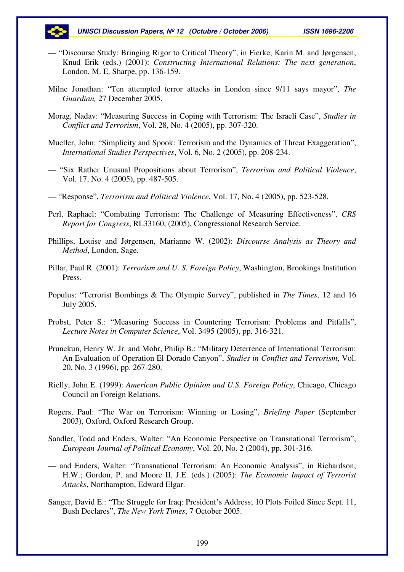- "Discourse Study: Bringing Rigor to Critical Theory", in Fierke, Karin M. and Jørgensen, Knud Erik (eds.) (2001): *Constructing International Relations: The next generation*, London, M. E. Sharpe, pp. 136-159.
- Milne Jonathan: "Ten attempted terror attacks in London since 9/11 says mayor", *The Guardian,* 27 December 2005.
- Morag, Nadav: "Measuring Success in Coping with Terrorism: The Israeli Case", *Studies in Conflict and Terrorism*, Vol. 28, No. 4 (2005), pp. 307-320.
- Mueller, John: "Simplicity and Spook: Terrorism and the Dynamics of Threat Exaggeration", *International Studies Perspectives*, Vol. 6, No. 2 (2005), pp. 208-234.
- "Six Rather Unusual Propositions about Terrorism", *Terrorism and Political Violence*, Vol. 17, No. 4 (2005), pp. 487-505.
- "Response", *Terrorism and Political Violence*, Vol. 17, No. 4 (2005), pp. 523-528.
- Perl, Raphael: "Combating Terrorism: The Challenge of Measuring Effectiveness", *CRS Report for Congress*, RL33160, (2005), Congressional Research Service.
- Phillips, Louise and Jørgensen, Marianne W. (2002): *Discourse Analysis as Theory and Method*, London, Sage.
- Pillar, Paul R. (2001): *Terrorism and U. S. Foreign Policy*, Washington, Brookings Institution Press.
- Populus: "Terrorist Bombings & The Olympic Survey", published in *The Times*, 12 and 16 July 2005.
- Probst, Peter S.: "Measuring Success in Countering Terrorism: Problems and Pitfalls", *Lecture Notes in Computer Science*, Vol. 3495 (2005), pp. 316-321.
- Prunckun, Henry W. Jr. and Mohr, Philip B.: "Military Deterrence of International Terrorism: An Evaluation of Operation El Dorado Canyon", *Studies in Conflict and Terrorism*, Vol. 20, No. 3 (1996), pp. 267-280.
- Rielly, John E. (1999): *American Public Opinion and U.S. Foreign Policy*, Chicago, Chicago Council on Foreign Relations.
- Rogers, Paul: "The War on Terrorism: Winning or Losing", *Briefing Paper* (September 2003), Oxford, Oxford Research Group.
- Sandler, Todd and Enders, Walter: "An Economic Perspective on Transnational Terrorism", *European Journal of Political Economy*, Vol. 20, No. 2 (2004), pp. 301-316.
- and Enders, Walter: "Transnational Terrorism: An Economic Analysis", in Richardson, H.W.; Gordon, P. and Moore II, J.E. (eds.) (2005): *The Economic Impact of Terrorist Attacks*, Northampton, Edward Elgar.
- Sanger, David E.: "The Struggle for Iraq: President's Address; 10 Plots Foiled Since Sept. 11, Bush Declares", *The New York Times*, 7 October 2005.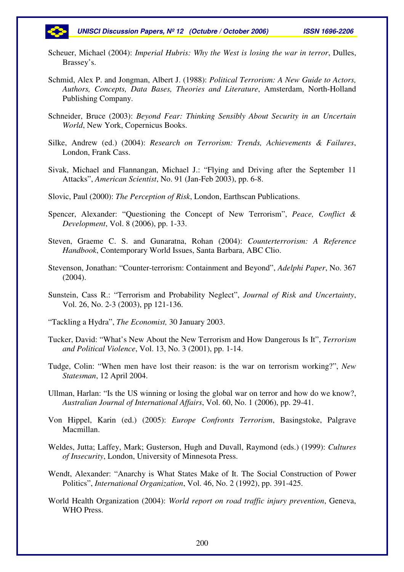

- Scheuer, Michael (2004): *Imperial Hubris: Why the West is losing the war in terror*, Dulles, Brassey's.
- Schmid, Alex P. and Jongman, Albert J. (1988): *Political Terrorism: A New Guide to Actors, Authors, Concepts, Data Bases, Theories and Literature*, Amsterdam, North-Holland Publishing Company.
- Schneider, Bruce (2003): *Beyond Fear: Thinking Sensibly About Security in an Uncertain World*, New York, Copernicus Books.
- Silke, Andrew (ed.) (2004): *Research on Terrorism: Trends, Achievements & Failures*, London, Frank Cass.
- Sivak, Michael and Flannangan, Michael J.: "Flying and Driving after the September 11 Attacks", *American Scientist*, No. 91 (Jan-Feb 2003), pp. 6-8.
- Slovic, Paul (2000): *The Perception of Risk*, London, Earthscan Publications.
- Spencer, Alexander: "Questioning the Concept of New Terrorism", *Peace, Conflict & Development*, Vol. 8 (2006), pp. 1-33.
- Steven, Graeme C. S. and Gunaratna, Rohan (2004): *Counterterrorism: A Reference Handbook*, Contemporary World Issues, Santa Barbara, ABC Clio.
- Stevenson, Jonathan: "Counter-terrorism: Containment and Beyond", *Adelphi Paper*, No. 367 (2004).
- Sunstein, Cass R.: "Terrorism and Probability Neglect", *Journal of Risk and Uncertainty*, Vol. 26, No. 2-3 (2003), pp 121-136.
- "Tackling a Hydra", *The Economist,* 30 January 2003.
- Tucker, David: "What's New About the New Terrorism and How Dangerous Is It", *Terrorism and Political Violence*, Vol. 13, No. 3 (2001), pp. 1-14.
- Tudge, Colin: "When men have lost their reason: is the war on terrorism working?", *New Statesman*, 12 April 2004.
- Ullman, Harlan: "Is the US winning or losing the global war on terror and how do we know?, *Australian Journal of International Affairs*, Vol. 60, No. 1 (2006), pp. 29-41.
- Von Hippel, Karin (ed.) (2005): *Europe Confronts Terrorism*, Basingstoke, Palgrave Macmillan.
- Weldes, Jutta; Laffey, Mark; Gusterson, Hugh and Duvall, Raymond (eds.) (1999): *Cultures of Insecurity*, London, University of Minnesota Press.
- Wendt, Alexander: "Anarchy is What States Make of It. The Social Construction of Power Politics", *International Organization*, Vol. 46, No. 2 (1992), pp. 391-425.
- World Health Organization (2004): *World report on road traffic injury prevention*, Geneva, WHO Press.